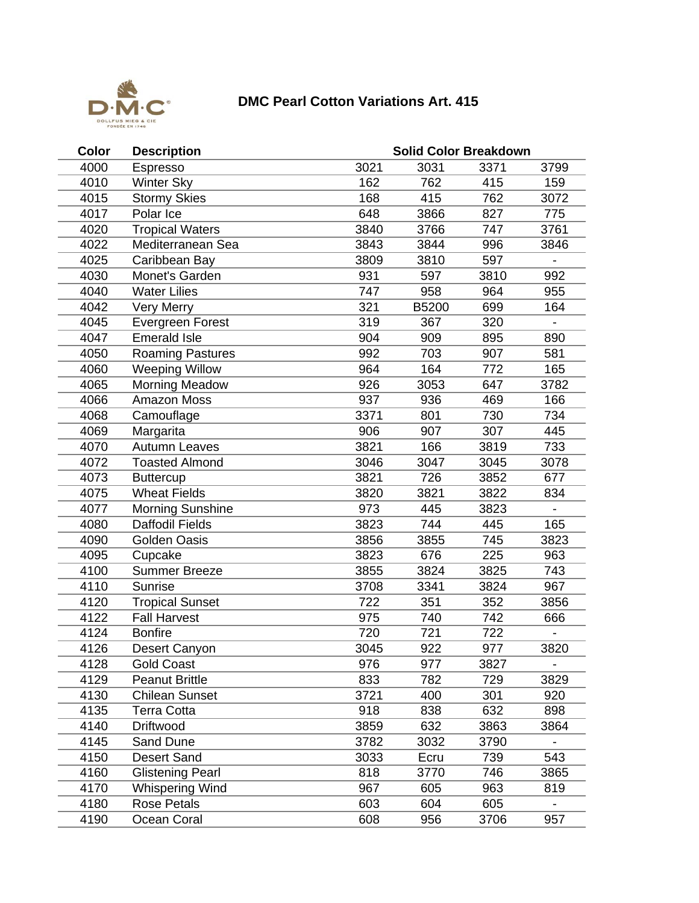

## **DMC Pearl Cotton Variations Art. 415**

| Color | <b>Description</b>      | <b>Solid Color Breakdown</b> |       |      |                          |  |  |
|-------|-------------------------|------------------------------|-------|------|--------------------------|--|--|
| 4000  | Espresso                | 3021                         | 3031  | 3371 | 3799                     |  |  |
| 4010  | <b>Winter Sky</b>       | 162                          | 762   | 415  | 159                      |  |  |
| 4015  | <b>Stormy Skies</b>     | 168                          | 415   | 762  | 3072                     |  |  |
| 4017  | Polar Ice               | 648                          | 3866  | 827  | 775                      |  |  |
| 4020  | <b>Tropical Waters</b>  | 3840                         | 3766  | 747  | 3761                     |  |  |
| 4022  | Mediterranean Sea       | 3843                         | 3844  | 996  | 3846                     |  |  |
| 4025  | Caribbean Bay           | 3809                         | 3810  | 597  |                          |  |  |
| 4030  | Monet's Garden          | 931                          | 597   | 3810 | 992                      |  |  |
| 4040  | <b>Water Lilies</b>     | 747                          | 958   | 964  | 955                      |  |  |
| 4042  | <b>Very Merry</b>       | 321                          | B5200 | 699  | 164                      |  |  |
| 4045  | <b>Evergreen Forest</b> | 319                          | 367   | 320  |                          |  |  |
| 4047  | <b>Emerald Isle</b>     | 904                          | 909   | 895  | 890                      |  |  |
| 4050  | <b>Roaming Pastures</b> | 992                          | 703   | 907  | 581                      |  |  |
| 4060  | <b>Weeping Willow</b>   | 964                          | 164   | 772  | 165                      |  |  |
| 4065  | <b>Morning Meadow</b>   | 926                          | 3053  | 647  | 3782                     |  |  |
| 4066  | <b>Amazon Moss</b>      | 937                          | 936   | 469  | 166                      |  |  |
| 4068  | Camouflage              | 3371                         | 801   | 730  | 734                      |  |  |
| 4069  | Margarita               | 906                          | 907   | 307  | 445                      |  |  |
| 4070  | <b>Autumn Leaves</b>    | 3821                         | 166   | 3819 | 733                      |  |  |
| 4072  | <b>Toasted Almond</b>   | 3046                         | 3047  | 3045 | 3078                     |  |  |
| 4073  | <b>Buttercup</b>        | 3821                         | 726   | 3852 | 677                      |  |  |
| 4075  | <b>Wheat Fields</b>     | 3820                         | 3821  | 3822 | 834                      |  |  |
| 4077  | <b>Morning Sunshine</b> | 973                          | 445   | 3823 |                          |  |  |
| 4080  | <b>Daffodil Fields</b>  | 3823                         | 744   | 445  | 165                      |  |  |
| 4090  | Golden Oasis            | 3856                         | 3855  | 745  | 3823                     |  |  |
| 4095  | Cupcake                 | 3823                         | 676   | 225  | 963                      |  |  |
| 4100  | <b>Summer Breeze</b>    | 3855                         | 3824  | 3825 | 743                      |  |  |
| 4110  | Sunrise                 | 3708                         | 3341  | 3824 | 967                      |  |  |
| 4120  | <b>Tropical Sunset</b>  | 722                          | 351   | 352  | 3856                     |  |  |
| 4122  | <b>Fall Harvest</b>     | 975                          | 740   | 742  | 666                      |  |  |
| 4124  | <b>Bonfire</b>          | 720                          | 721   | 722  |                          |  |  |
| 4126  | <b>Desert Canyon</b>    | 3045                         | 922   | 977  | 3820                     |  |  |
| 4128  | <b>Gold Coast</b>       | 976                          | 977   | 3827 | $\overline{\phantom{0}}$ |  |  |
| 4129  | <b>Peanut Brittle</b>   | 833                          | 782   | 729  | 3829                     |  |  |
| 4130  | <b>Chilean Sunset</b>   | 3721                         | 400   | 301  | 920                      |  |  |
| 4135  | Terra Cotta             | 918                          | 838   | 632  | 898                      |  |  |
| 4140  | Driftwood               | 3859                         | 632   | 3863 | 3864                     |  |  |
| 4145  | Sand Dune               | 3782                         | 3032  | 3790 |                          |  |  |
| 4150  | <b>Desert Sand</b>      | 3033                         | Ecru  | 739  | 543                      |  |  |
| 4160  | <b>Glistening Pearl</b> | 818                          | 3770  | 746  | 3865                     |  |  |
| 4170  | Whispering Wind         | 967                          | 605   | 963  | 819                      |  |  |
| 4180  | <b>Rose Petals</b>      | 603                          | 604   | 605  |                          |  |  |
| 4190  | Ocean Coral             | 608                          | 956   | 3706 | 957                      |  |  |